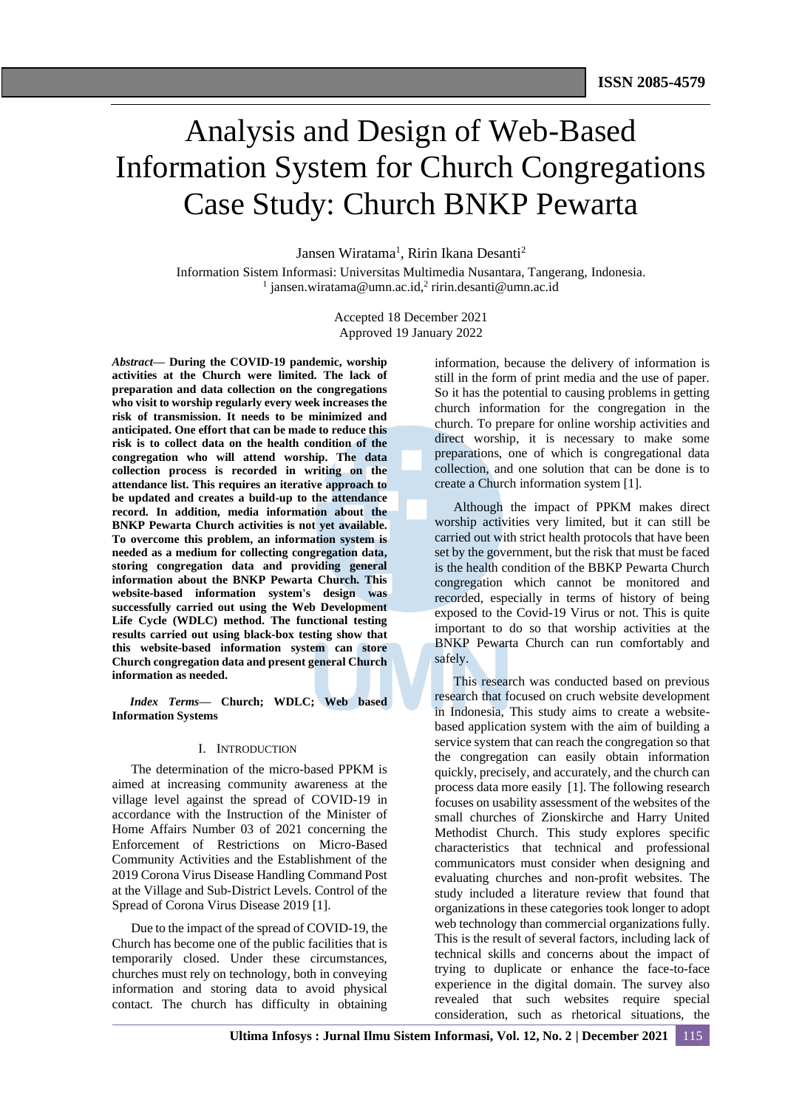# Analysis and Design of Web-Based Information System for Church Congregations Case Study: Church BNKP Pewarta

Jansen Wiratama<sup>1</sup>, Ririn Ikana Desanti<sup>2</sup>

Information Sistem Informasi: Universitas Multimedia Nusantara, Tangerang, Indonesia. <sup>1</sup> jansen.wiratama@umn.ac.id,<sup>2</sup> ririn.desanti@umn.ac.id

> Accepted 18 December 2021 Approved 19 January 2022

*Abstract***— During the COVID-19 pandemic, worship activities at the Church were limited. The lack of preparation and data collection on the congregations who visit to worship regularly every week increases the risk of transmission. It needs to be minimized and anticipated. One effort that can be made to reduce this risk is to collect data on the health condition of the congregation who will attend worship. The data collection process is recorded in writing on the attendance list. This requires an iterative approach to be updated and creates a build-up to the attendance record. In addition, media information about the BNKP Pewarta Church activities is not yet available. To overcome this problem, an information system is needed as a medium for collecting congregation data, storing congregation data and providing general information about the BNKP Pewarta Church. This website-based information system's design was successfully carried out using the Web Development Life Cycle (WDLC) method. The functional testing results carried out using black-box testing show that this website-based information system can store Church congregation data and present general Church information as needed.**

*Index Terms—* **Church; WDLC; Web based Information Systems**

# I. INTRODUCTION

The determination of the micro-based PPKM is aimed at increasing community awareness at the village level against the spread of COVID-19 in accordance with the Instruction of the Minister of Home Affairs Number 03 of 2021 concerning the Enforcement of Restrictions on Micro-Based Community Activities and the Establishment of the 2019 Corona Virus Disease Handling Command Post at the Village and Sub-District Levels. Control of the Spread of Corona Virus Disease 2019 [1].

Due to the impact of the spread of COVID-19, the Church has become one of the public facilities that is temporarily closed. Under these circumstances, churches must rely on technology, both in conveying information and storing data to avoid physical contact. The church has difficulty in obtaining

information, because the delivery of information is still in the form of print media and the use of paper. So it has the potential to causing problems in getting church information for the congregation in the church. To prepare for online worship activities and direct worship, it is necessary to make some preparations, one of which is congregational data collection, and one solution that can be done is to create a Church information system [1].

Although the impact of PPKM makes direct worship activities very limited, but it can still be carried out with strict health protocols that have been set by the government, but the risk that must be faced is the health condition of the BBKP Pewarta Church congregation which cannot be monitored and recorded, especially in terms of history of being exposed to the Covid-19 Virus or not. This is quite important to do so that worship activities at the BNKP Pewarta Church can run comfortably and safely.

This research was conducted based on previous research that focused on cruch website development in Indonesia, This study aims to create a websitebased application system with the aim of building a service system that can reach the congregation so that the congregation can easily obtain information quickly, precisely, and accurately, and the church can process data more easily [1]. The following research focuses on usability assessment of the websites of the small churches of Zionskirche and Harry United Methodist Church. This study explores specific characteristics that technical and professional communicators must consider when designing and evaluating churches and non-profit websites. The study included a literature review that found that organizations in these categories took longer to adopt web technology than commercial organizations fully. This is the result of several factors, including lack of technical skills and concerns about the impact of trying to duplicate or enhance the face-to-face experience in the digital domain. The survey also revealed that such websites require special consideration, such as rhetorical situations, the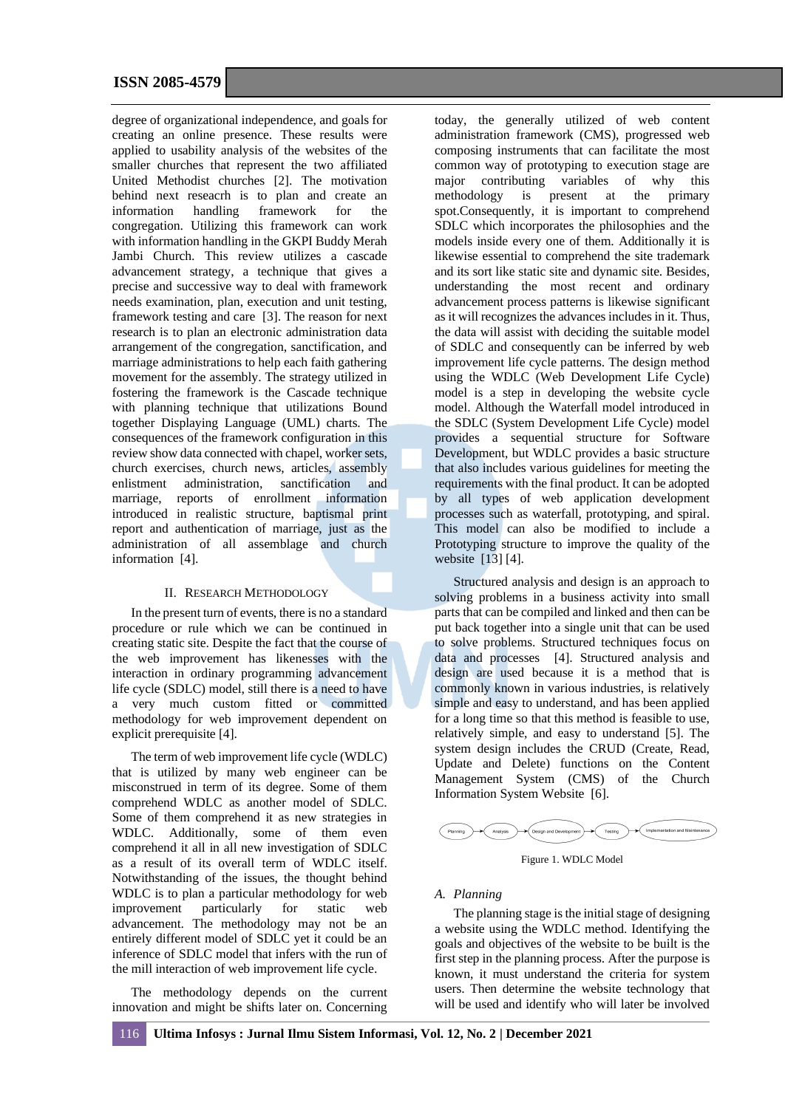degree of organizational independence, and goals for creating an online presence. These results were applied to usability analysis of the websites of the smaller churches that represent the two affiliated United Methodist churches [2]. The motivation behind next reseacrh is to plan and create an information handling framework for the congregation. Utilizing this framework can work with information handling in the GKPI Buddy Merah Jambi Church. This review utilizes a cascade advancement strategy, a technique that gives a precise and successive way to deal with framework needs examination, plan, execution and unit testing, framework testing and care [3]. The reason for next research is to plan an electronic administration data arrangement of the congregation, sanctification, and marriage administrations to help each faith gathering movement for the assembly. The strategy utilized in fostering the framework is the Cascade technique with planning technique that utilizations Bound together Displaying Language (UML) charts. The consequences of the framework configuration in this review show data connected with chapel, worker sets, church exercises, church news, articles, assembly enlistment administration, sanctification and marriage, reports of enrollment information introduced in realistic structure, baptismal print report and authentication of marriage, just as the administration of all assemblage and church information [4].

# II. RESEARCH METHODOLOGY

In the present turn of events, there is no a standard procedure or rule which we can be continued in creating static site. Despite the fact that the course of the web improvement has likenesses with the interaction in ordinary programming advancement life cycle (SDLC) model, still there is a need to have a very much custom fitted or committed methodology for web improvement dependent on explicit prerequisite [4].

The term of web improvement life cycle (WDLC) that is utilized by many web engineer can be misconstrued in term of its degree. Some of them comprehend WDLC as another model of SDLC. Some of them comprehend it as new strategies in WDLC. Additionally, some of them even comprehend it all in all new investigation of SDLC as a result of its overall term of WDLC itself. Notwithstanding of the issues, the thought behind WDLC is to plan a particular methodology for web improvement particularly for static web advancement. The methodology may not be an entirely different model of SDLC yet it could be an inference of SDLC model that infers with the run of the mill interaction of web improvement life cycle.

The methodology depends on the current innovation and might be shifts later on. Concerning

today, the generally utilized of web content administration framework (CMS), progressed web composing instruments that can facilitate the most common way of prototyping to execution stage are major contributing variables of why this methodology is present at the primary spot.Consequently, it is important to comprehend SDLC which incorporates the philosophies and the models inside every one of them. Additionally it is likewise essential to comprehend the site trademark and its sort like static site and dynamic site. Besides, understanding the most recent and ordinary advancement process patterns is likewise significant as it will recognizes the advances includes in it. Thus, the data will assist with deciding the suitable model of SDLC and consequently can be inferred by web improvement life cycle patterns. The design method using the WDLC (Web Development Life Cycle) model is a step in developing the website cycle model. Although the Waterfall model introduced in the SDLC (System Development Life Cycle) model provides a sequential structure for Software Development, but WDLC provides a basic structure that also includes various guidelines for meeting the requirements with the final product. It can be adopted by all types of web application development processes such as waterfall, prototyping, and spiral. This model can also be modified to include a Prototyping structure to improve the quality of the website [13] [4].

Structured analysis and design is an approach to solving problems in a business activity into small parts that can be compiled and linked and then can be put back together into a single unit that can be used to solve problems. Structured techniques focus on data and processes [4]. Structured analysis and design are used because it is a method that is commonly known in various industries, is relatively simple and easy to understand, and has been applied for a long time so that this method is feasible to use, relatively simple, and easy to understand [5]. The system design includes the CRUD (Create, Read, Update and Delete) functions on the Content Management System (CMS) of the Church Information System Website [6].



Figure 1. WDLC Model

# *A. Planning*

The planning stage is the initial stage of designing a website using the WDLC method. Identifying the goals and objectives of the website to be built is the first step in the planning process. After the purpose is known, it must understand the criteria for system users. Then determine the website technology that will be used and identify who will later be involved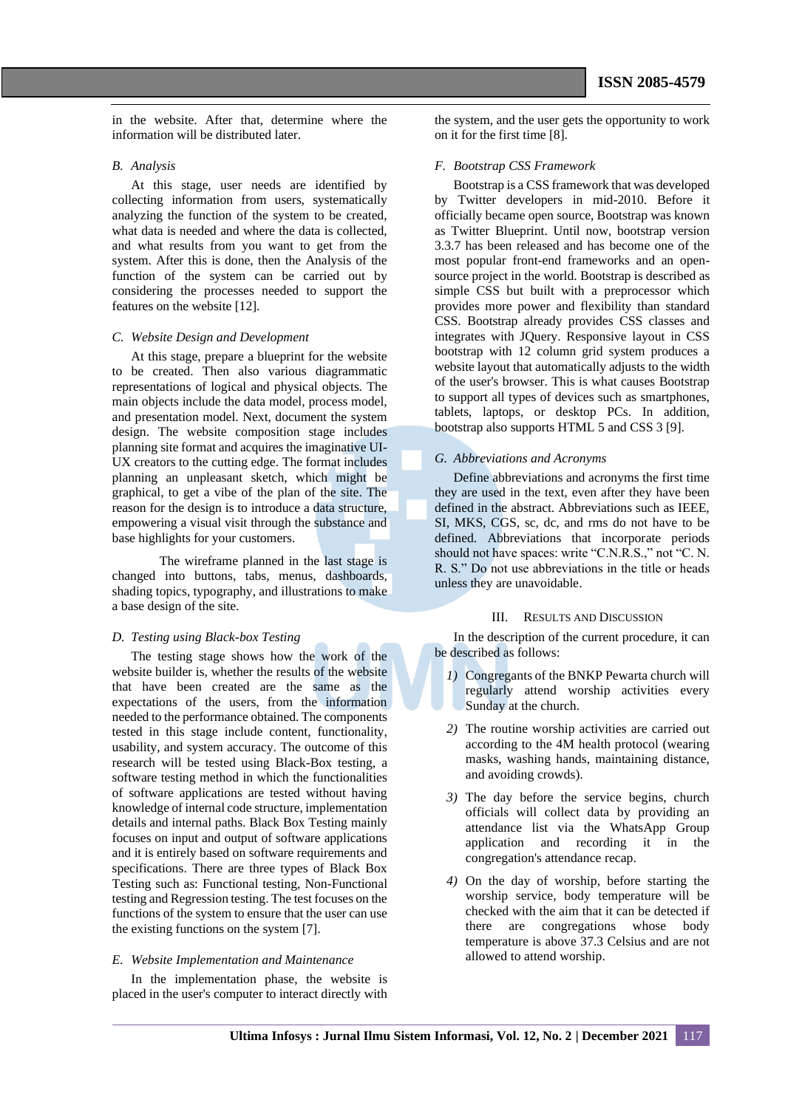in the website. After that, determine where the information will be distributed later.

#### *B. Analysis*

At this stage, user needs are identified by collecting information from users, systematically analyzing the function of the system to be created, what data is needed and where the data is collected, and what results from you want to get from the system. After this is done, then the Analysis of the function of the system can be carried out by considering the processes needed to support the features on the website [12].

# *C. Website Design and Development*

At this stage, prepare a blueprint for the website to be created. Then also various diagrammatic representations of logical and physical objects. The main objects include the data model, process model, and presentation model. Next, document the system design. The website composition stage includes planning site format and acquires the imaginative UI-UX creators to the cutting edge. The format includes planning an unpleasant sketch, which might be graphical, to get a vibe of the plan of the site. The reason for the design is to introduce a data structure, empowering a visual visit through the substance and base highlights for your customers.

The wireframe planned in the last stage is changed into buttons, tabs, menus, dashboards, shading topics, typography, and illustrations to make a base design of the site.

#### *D. Testing using Black-box Testing*

The testing stage shows how the work of the website builder is, whether the results of the website that have been created are the same as the expectations of the users, from the information needed to the performance obtained. The components tested in this stage include content, functionality, usability, and system accuracy. The outcome of this research will be tested using Black-Box testing, a software testing method in which the functionalities of software applications are tested without having knowledge of internal code structure, implementation details and internal paths. Black Box Testing mainly focuses on input and output of software applications and it is entirely based on software requirements and specifications. There are three types of Black Box Testing such as: Functional testing, Non-Functional testing and Regression testing. The test focuses on the functions of the system to ensure that the user can use the existing functions on the system [7].

#### *E. Website Implementation and Maintenance*

In the implementation phase, the website is placed in the user's computer to interact directly with the system, and the user gets the opportunity to work on it for the first time [8].

# *F. Bootstrap CSS Framework*

Bootstrap is a CSS framework that was developed by Twitter developers in mid-2010. Before it officially became open source, Bootstrap was known as Twitter Blueprint. Until now, bootstrap version 3.3.7 has been released and has become one of the most popular front-end frameworks and an opensource project in the world. Bootstrap is described as simple CSS but built with a preprocessor which provides more power and flexibility than standard CSS. Bootstrap already provides CSS classes and integrates with JQuery. Responsive layout in CSS bootstrap with 12 column grid system produces a website layout that automatically adjusts to the width of the user's browser. This is what causes Bootstrap to support all types of devices such as smartphones, tablets, laptops, or desktop PCs. In addition, bootstrap also supports HTML 5 and CSS 3 [9].

#### *G. Abbreviations and Acronyms*

Define abbreviations and acronyms the first time they are used in the text, even after they have been defined in the abstract. Abbreviations such as IEEE, SI, MKS, CGS, sc, dc, and rms do not have to be defined. Abbreviations that incorporate periods should not have spaces: write "C.N.R.S.," not "C. N. R. S." Do not use abbreviations in the title or heads unless they are unavoidable.

#### III. RESULTS AND DISCUSSION

In the description of the current procedure, it can be described as follows:

- *1)* Congregants of the BNKP Pewarta church will regularly attend worship activities every Sunday at the church.
- *2)* The routine worship activities are carried out according to the 4M health protocol (wearing masks, washing hands, maintaining distance, and avoiding crowds).
- *3)* The day before the service begins, church officials will collect data by providing an attendance list via the WhatsApp Group application and recording it in the congregation's attendance recap.
- *4)* On the day of worship, before starting the worship service, body temperature will be checked with the aim that it can be detected if there are congregations whose body temperature is above 37.3 Celsius and are not allowed to attend worship.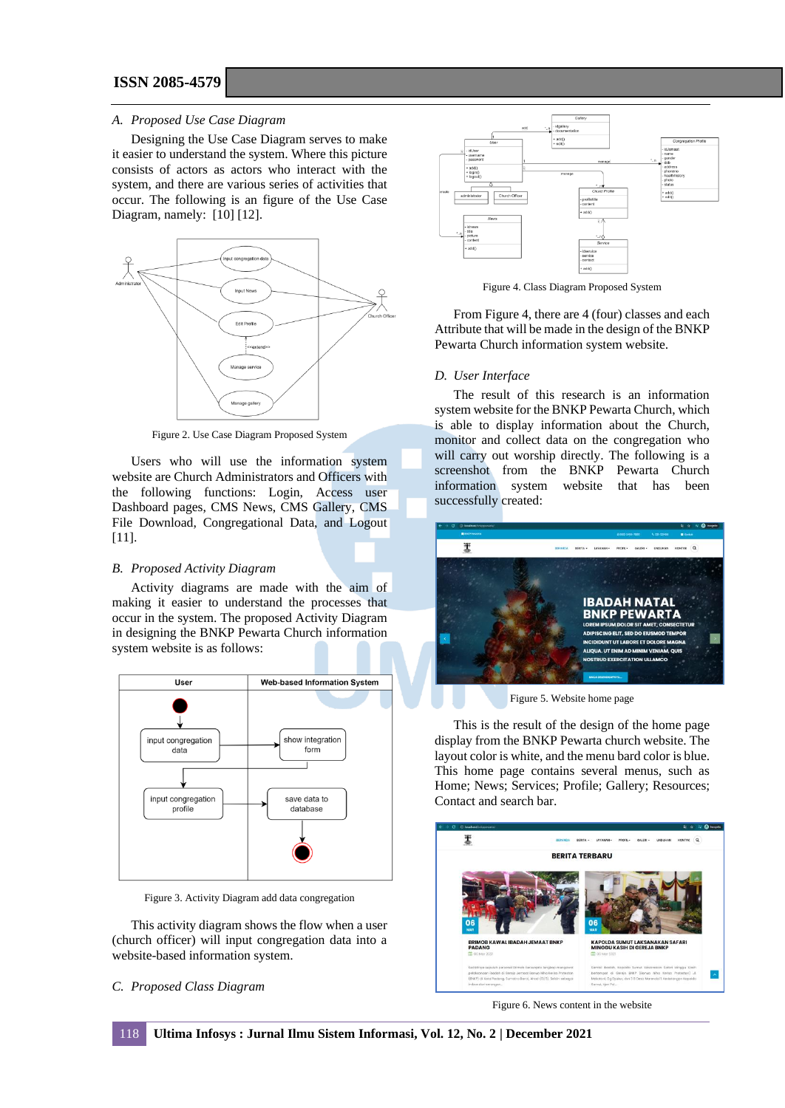**ISSN 2085-4579**

#### *A. Proposed Use Case Diagram*

Designing the Use Case Diagram serves to make it easier to understand the system. Where this picture consists of actors as actors who interact with the system, and there are various series of activities that occur. The following is an figure of the Use Case Diagram, namely: [10] [12].



Figure 2. Use Case Diagram Proposed System

Users who will use the information system website are Church Administrators and Officers with the following functions: Login, Access user Dashboard pages, CMS News, CMS Gallery, CMS File Download, Congregational Data, and Logout [11].

# *B. Proposed Activity Diagram*

Activity diagrams are made with the aim of making it easier to understand the processes that occur in the system. The proposed Activity Diagram in designing the BNKP Pewarta Church information system website is as follows:



Figure 3. Activity Diagram add data congregation

This activity diagram shows the flow when a user (church officer) will input congregation data into a website-based information system.

# *C. Proposed Class Diagram*



Figure 4. Class Diagram Proposed System

From Figure 4, there are 4 (four) classes and each Attribute that will be made in the design of the BNKP Pewarta Church information system website.

#### *D. User Interface*

The result of this research is an information system website for the BNKP Pewarta Church, which is able to display information about the Church, monitor and collect data on the congregation who will carry out worship directly. The following is a screenshot from the BNKP Pewarta Church information system website that has been successfully created:



Figure 5. Website home page

This is the result of the design of the home page display from the BNKP Pewarta church website. The layout color is white, and the menu bard color is blue. This home page contains several menus, such as Home; News; Services; Profile; Gallery; Resources; Contact and search bar.



Figure 6. News content in the website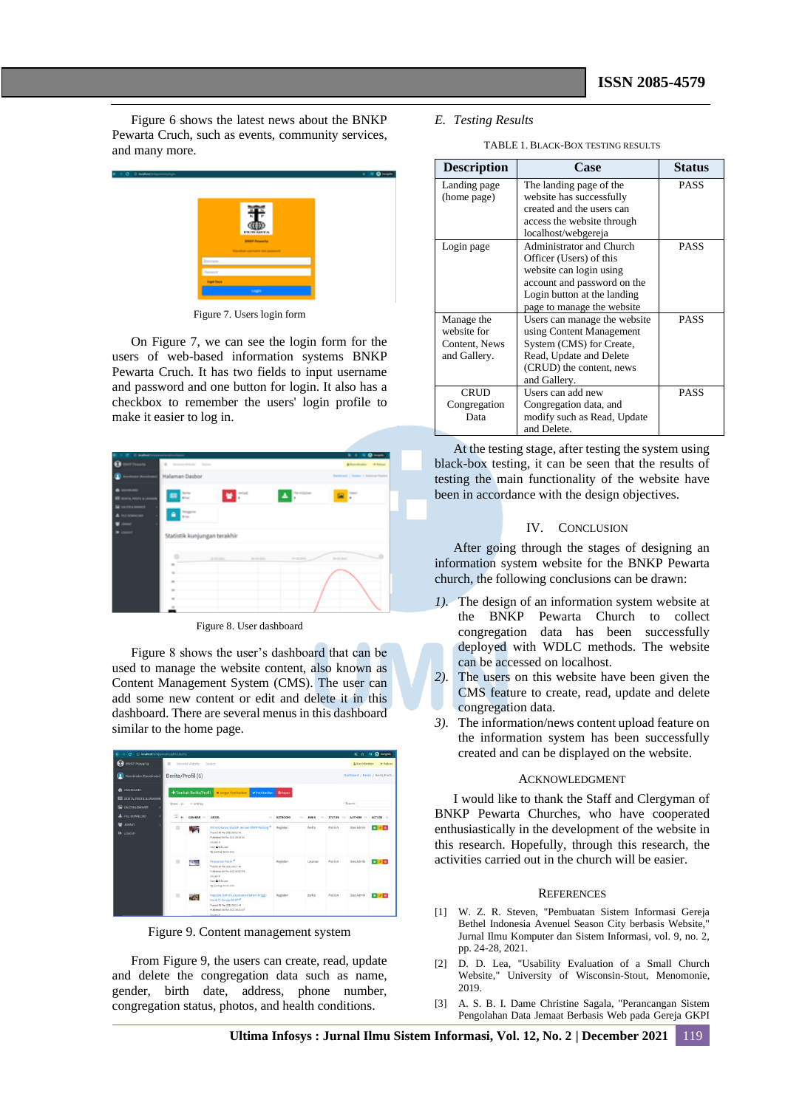Figure 6 shows the latest news about the BNKP Pewarta Cruch, such as events, community services, and many more.



Figure 7. Users login form

On Figure 7, we can see the login form for the users of web-based information systems BNKP Pewarta Cruch. It has two fields to input username and password and one button for login. It also has a checkbox to remember the users' login profile to make it easier to log in.

| <b>Charles</b>                             |                                                                            |                              |                  |                    | <b><i><u><b>A</b></u></i> A <i>A A A</i></b> |
|--------------------------------------------|----------------------------------------------------------------------------|------------------------------|------------------|--------------------|----------------------------------------------|
| <b>Williams</b>                            | B Interior Bellefa - Daniel                                                |                              |                  |                    | & Association 19 Extra                       |
|                                            | Halaman Dasbor                                                             |                              |                  |                    | Dechtered J Dedice / Hateman Deckor          |
| <b>BOLIVIER ALE</b><br><b>M</b> correspond | $\frac{1+2\pi}{4-\pi}$<br>圖                                                | e =                          |                  | $\frac{1}{2}$<br>D |                                              |
| Li bomester<br>-                           | $\begin{array}{l} \hbox{Im} \mu \nu \nu \\ \hbox{Im} \nu \end{array}$<br>۵ |                              |                  |                    |                                              |
| $\sim$                                     |                                                                            | Statistik kunjungan terakhir |                  |                    |                                              |
|                                            |                                                                            |                              |                  |                    |                                              |
|                                            | $\blacksquare$                                                             | Silvers and                  | <b>SECRETARY</b> | an as part         | <b>MARKET</b>                                |
|                                            |                                                                            |                              |                  |                    |                                              |
|                                            | $\overline{a}$                                                             |                              |                  |                    |                                              |
|                                            |                                                                            |                              |                  |                    |                                              |
|                                            | ×                                                                          |                              |                  |                    |                                              |
|                                            | ٠                                                                          |                              |                  |                    |                                              |

Figure 8. User dashboard

Figure 8 shows the user's dashboard that can be used to manage the website content, also known as Content Management System (CMS). The user can add some new content or edit and delete it in this dashboard. There are several menus in this dashboard similar to the home page.

| (D. localhoet/trainsnevertaladmentaminal<br>e                                             |                                                                                                                               |                 |                                                                                                                                                                 |               |                            |               | 新业            | C Incoprito<br>BE.                |
|-------------------------------------------------------------------------------------------|-------------------------------------------------------------------------------------------------------------------------------|-----------------|-----------------------------------------------------------------------------------------------------------------------------------------------------------------|---------------|----------------------------|---------------|---------------|-----------------------------------|
| <b>BNKP Pewarta</b>                                                                       | $\equiv$                                                                                                                      | Becards Website | Dastron                                                                                                                                                         |               | & Koordinator<br>(* Keluar |               |               |                                   |
| Koordinator (Koordinator)                                                                 | Berita/Profil (6)                                                                                                             |                 |                                                                                                                                                                 |               |                            |               |               | Dashboard / Berka / Berita/Profit |
| <b>BE DASHBOARD</b><br><b>BE BERITA, PROFIL &amp; LAYANAMI</b><br><b>ER GUERIA BANKER</b> | + Tambah Berita/Profil<br><b>K</b> Jangan Publication<br>V Publikeykan<br><b>Billipus</b><br>Search:<br>v entries<br>Show: 10 |                 |                                                                                                                                                                 |               |                            |               |               |                                   |
| <b>上 FREDOMNIOAD</b>                                                                      | $\Box$                                                                                                                        | GAMRAR -        | <b>JUDUL</b><br>$\sim$                                                                                                                                          | KATEGORI<br>۰ | <b>JENIS</b>               | <b>STATUS</b> | <b>AUTHOR</b> | ACTION :                          |
| <b>JEMART</b><br>w.<br>O LOGOUT                                                           | ٠                                                                                                                             | æ               | Enimob Kawal Ibadah Jemaat ENKP Padang<br>Posted: 06 Mar 2021 00:38:48<br>Published: 00 Mar 2021 00:18 22<br>Unitary II<br>tor Atrivor<br>Tel.posteg:00-23-2021 | Kegiatan      | Berits                     | Publish       | User Admin    | $-28$                             |
|                                                                                           | 吉                                                                                                                             | 远想              | Pelayanan Youth<br>Pented: 06 Har 2021 00:17: 43<br>Published: 00 Mar 2021 00:17: 04<br>Distance:<br>Inter A for forcests<br>Tel: post ex: 06-15-2021           | Kegistan      | Lasanan                    | Publish       | User Admin    | ●交流                               |
|                                                                                           | ٠                                                                                                                             | W.              | Kapatida Sumurt Laksamakan Safari Minegu<br>Kash Di Gereja Bruce<br>Posted: 06 Mar 2021 00:11: 44<br>Published: 00 Mar 2021 00(11) 67                           | Kegistan      | Berits                     | Publish       | User Admin    | $-70$                             |

Figure 9. Content management system

From Figure 9, the users can create, read, update and delete the congregation data such as name, gender, birth date, address, phone number, congregation status, photos, and health conditions.

### *E. Testing Results*

TABLE 1. BLACK-BOX TESTING RESULTS

| <b>Description</b> | Case                         | <b>Status</b> |
|--------------------|------------------------------|---------------|
| Landing page       | The landing page of the      | PASS          |
| (home page)        | website has successfully     |               |
|                    | created and the users can    |               |
|                    | access the website through   |               |
|                    | localhost/webgereja          |               |
| Login page         | Administrator and Church     | <b>PASS</b>   |
|                    | Officer (Users) of this      |               |
|                    | website can login using      |               |
|                    | account and password on the  |               |
|                    | Login button at the landing  |               |
|                    | page to manage the website   |               |
| Manage the         | Users can manage the website | <b>PASS</b>   |
| website for        | using Content Management     |               |
| Content, News      | System (CMS) for Create,     |               |
| and Gallery.       | Read, Update and Delete      |               |
|                    | (CRUD) the content, news     |               |
|                    | and Gallery.                 |               |
| <b>CRUD</b>        | Users can add new            | <b>PASS</b>   |
| Congregation       | Congregation data, and       |               |
| Data               | modify such as Read, Update  |               |
|                    | and Delete.                  |               |

At the testing stage, after testing the system using black-box testing, it can be seen that the results of testing the main functionality of the website have been in accordance with the design objectives.

### IV. CONCLUSION

After going through the stages of designing an information system website for the BNKP Pewarta church, the following conclusions can be drawn:

- *1).* The design of an information system website at the BNKP Pewarta Church to collect congregation data has been successfully deployed with WDLC methods. The website can be accessed on localhost.
- *2).* The users on this website have been given the CMS feature to create, read, update and delete congregation data.
- *3).* The information/news content upload feature on the information system has been successfully created and can be displayed on the website.

#### ACKNOWLEDGMENT

I would like to thank the Staff and Clergyman of BNKP Pewarta Churches, who have cooperated enthusiastically in the development of the website in this research. Hopefully, through this research, the activities carried out in the church will be easier.

#### **REFERENCES**

- [1] W. Z. R. Steven, "Pembuatan Sistem Informasi Gereja Bethel Indonesia Avenuel Season City berbasis Website," Jurnal Ilmu Komputer dan Sistem Informasi, vol. 9, no. 2, pp. 24-28, 2021.
- [2] D. D. Lea, "Usability Evaluation of a Small Church Website," University of Wisconsin-Stout, Menomonie, 2019.
- [3] A. S. B. I. Dame Christine Sagala, "Perancangan Sistem Pengolahan Data Jemaat Berbasis Web pada Gereja GKPI